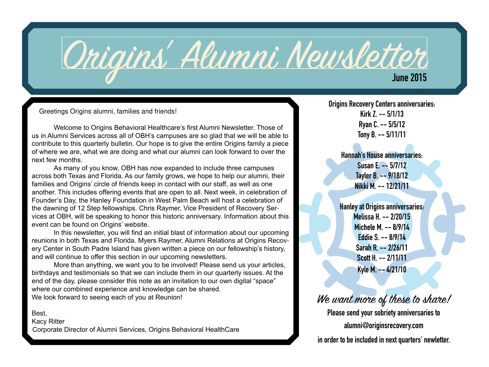

Greetings Origins alumni, families and friends!

Welcome to Origins Behavioral Healthcare's first Alumni Newsletter. Those of us in Alumni Services across all of OBH's campuses are so glad that we will be able to contribute to this quarterly bulletin. Our hope is to give the entire Origins family a piece of where we are, what we are doing and what our alumni can look forward to over the next few months.

As many of you know, OBH has now expanded to include three campuses across both Texas and Florida. As our family grows, we hope to help our alumni, their families and Origins' circle of friends keep in contact with our staff, as well as one another. This includes offering events that are open to all. Next week, in celebration of Founder's Day, the Hanley Foundation in West Palm Beach will host a celebration of the dawning of 12 Step fellowships. Chris Raymer, Vice President of Recovery Services at OBH, will be speaking to honor this historic anniversary. Information about this event can be found on Origins' website.

In this newsletter, you will find an initial blast of information about our upcoming reunions in both Texas and Florida. Myers Raymer, Alumni Relations at Origins Recovery Center in South Padre Island has given written a piece on our fellowship's history, and will continue to offer this section in our upcoming newsletters.

More than anything, we want you to be involved! Please send us your articles, birthdays and testimonials so that we can include them in our quarterly issues. At the end of the day, please consider this note as an invitation to our own digital "space" where our combined experience and knowledge can be shared. We look forward to seeing each of you at Reunion!

Best,

Kacy Ritter Corporate Director of Alumni Services, Origins Behavioral HealthCare **Origins Recovery Centers anniversaries: Kirk Z. -- 5/1/13 Ryan C. -- 5/5/12 Tony B. -- 5/11/11**

> **Hannah's House anniversaries: Susan E. -- 5/7/12 Tayler B. -- 9/18/12 Nikki M. -- 12/21/11**

> **Hanley at Origins anniversaries: Melissa H. -- 2/20/15 Michele M. -- 8/9/14 Eddie S. -- 8/9/14 Sarah R. -- 2/26/11 Scott H. -- 2/11/11 Kyle M. -- 4/21/10**

#### We want more of these to share!

**Please send your sobriety anniversaries to alumni@originsrecovery.com in order to be included in next quarters' newletter.**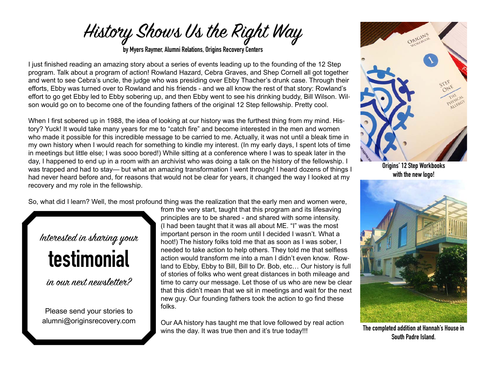

**by Myers Raymer, Alumni Relations, Origins Recovery Centers**

I just finished reading an amazing story about a series of events leading up to the founding of the 12 Step program. Talk about a program of action! Rowland Hazard, Cebra Graves, and Shep Cornell all got together and went to see Cebra's uncle, the judge who was presiding over Ebby Thacher's drunk case. Through their efforts, Ebby was turned over to Rowland and his friends - and we all know the rest of that story: Rowland's effort to go get Ebby led to Ebby sobering up, and then Ebby went to see his drinking buddy, Bill Wilson. Wilson would go on to become one of the founding fathers of the original 12 Step fellowship. Pretty cool.

When I first sobered up in 1988, the idea of looking at our history was the furthest thing from my mind. History? Yuck! It would take many years for me to "catch fire" and become interested in the men and women who made it possible for this incredible message to be carried to me. Actually, it was not until a bleak time in my own history when I would reach for something to kindle my interest. (In my early days, I spent lots of time in meetings but little else; I was sooo bored!) While sitting at a conference where I was to speak later in the day, I happened to end up in a room with an archivist who was doing a talk on the history of the fellowship. I was trapped and had to stay— but what an amazing transformation I went through! I heard dozens of things I had never heard before and, for reasons that would not be clear for years, it changed the way I looked at my recovery and my role in the fellowship.

So, what did I learn? Well, the most profound thing was the realization that the early men and women were,

# Interested in sharing your **testimonial**

in our next newsletter?

Please send your stories to alumni@originsrecovery.com from the very start, taught that this program and its lifesaving principles are to be shared - and shared with some intensity. (I had been taught that it was all about ME. "I" was the most important person in the room until I decided I wasn't. What a hoot!) The history folks told me that as soon as I was sober, I needed to take action to help others. They told me that selfless action would transform me into a man I didn't even know. Rowland to Ebby, Ebby to Bill, Bill to Dr. Bob, etc... Our history is full of stories of folks who went great distances in both mileage and time to carry our message. Let those of us who are new be clear that this didn't mean that we sit in meetings and wait for the next new guy. Our founding fathers took the action to go find these folks. 

Our AA history has taught me that love followed by real action wins the day. It was true then and it's true today!!!



**Origins' 12 Step Workbooks with the new logo!**



**The completed addition at Hannah's House in South Padre Island.**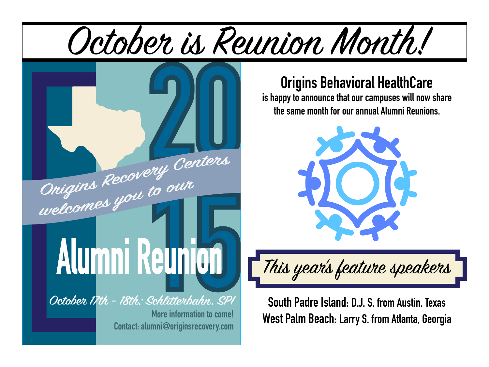



### **Origins Behavioral HealthCare**

**is happy to announce that our campuses will now share the same month for our annual Alumni Reunions.** 



This year's feature speakers

**South Padre Island: D.J. S. from Austin, Texas West Palm Beach: Larry S. from Atlanta, Georgia**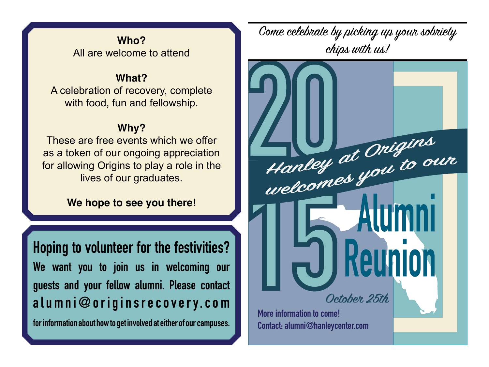#### **Who?** All are welcome to attend

#### **What?**

A celebration of recovery, complete with food, fun and fellowship.

#### **Why?**

These are free events which we offer as a token of our ongoing appreciation for allowing Origins to play a role in the lives of our graduates.

#### **We hope to see you there!**

**Hoping to volunteer for the festivities? We want you to join us in welcoming our guests and your fellow alumni. Please contact alumni@originsrecovery.com for information about how to get involved at either of our campuses.**

Come celebrate by picking up your sobriety chips with us!

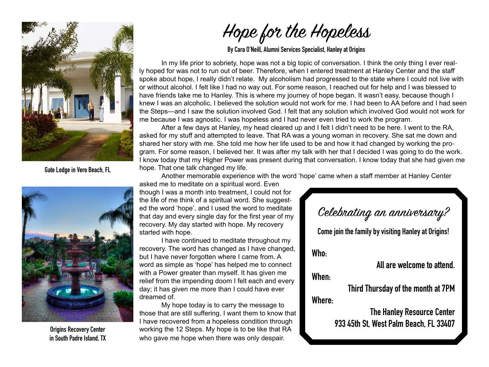

**Gate Lodge in Vero Beach, FL** 



**Origins Recovery Center in South Padre Island, TX**

## Hope for the Hopeless

**By Cara O'Neill, Alumni Services Specialist, Hanley at Origins**

In my life prior to sobriety, hope was not a big topic of conversation. I think the only thing I ever really hoped for was not to run out of beer. Therefore, when I entered treatment at Hanley Center and the staff spoke about hope, I really didn't relate. My alcoholism had progressed to the state where I could not live with or without alcohol. I felt like I had no way out. For some reason, I reached out for help and I was blessed to have friends take me to Hanley. This is where my journey of hope began. It wasn't easy, because though I knew I was an alcoholic, I believed the solution would not work for me. I had been to AA before and I had seen the Steps—and I saw the solution involved God. I felt that any solution which involved God would not work for me because I was agnostic. I was hopeless and I had never even tried to work the program.

After a few days at Hanley, my head cleared up and I felt I didn't need to be here. I went to the RA, asked for my stuff and attempted to leave. That RA was a young woman in recovery. She sat me down and shared her story with me. She told me how her life used to be and how it had changed by working the program. For some reason, I believed her. It was after my talk with her that I decided I was going to do the work. I know today that my Higher Power was present during that conversation. I know today that she had given me hope. That one talk changed my life.

Another memorable experience with the word 'hope' came when a staff member at Hanley Center

asked me to meditate on a spiritual word. Even though I was a month into treatment, I could not for the life of me think of a spiritual word. She suggested the word 'hope', and I used the word to meditate that day and every single day for the first year of my recovery. My day started with hope. My recovery started with hope.

I have continued to meditate throughout my recovery. The word has changed as I have changed, but I have never forgotten where I came from. A word as simple as 'hope' has helped me to connect with a Power greater than myself. It has given me relief from the impending doom I felt each and every day; it has given me more than I could have ever dreamed of.

My hope today is to carry the message to those that are still suffering. I want them to know that I have recovered from a hopeless condition through working the 12 Steps. My hope is to be like that RA who gave me hope when there was only despair.

Celebrating an anniversary?

**Come join the family by visiting Hanley at Origins!**

**Who:** 

**All are welcome to attend.** 

**When:** 

**Third Thursday of the month at 7PM** 

**Where:**

**The Hanley Resource Center 933 45th St, West Palm Beach, FL 33407**